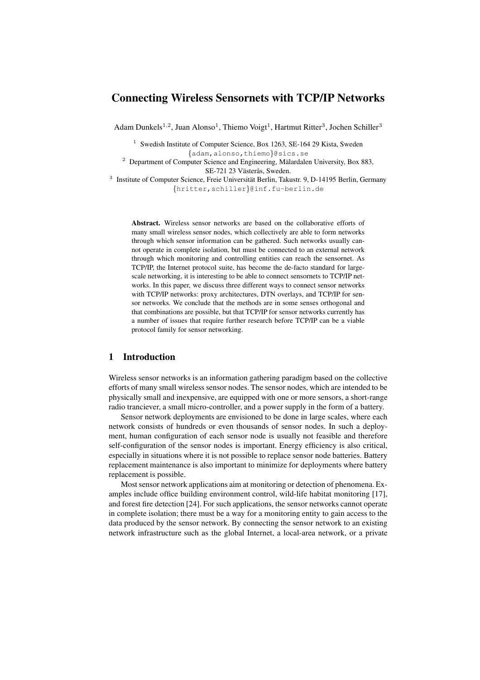# **Connecting Wireless Sensornets with TCP/IP Networks**

Adam Dunkels<sup>1,2</sup>, Juan Alonso<sup>1</sup>, Thiemo Voigt<sup>1</sup>, Hartmut Ritter<sup>3</sup>, Jochen Schiller<sup>3</sup>

<sup>1</sup> Swedish Institute of Computer Science, Box 1263, SE-164 29 Kista, Sweden {adam,alonso,thiemo}@sics.se

 $2$  Department of Computer Science and Engineering, Mälardalen University, Box 883, SE-721 23 Västerås, Sweden.

<sup>3</sup> Institute of Computer Science, Freie Universität Berlin, Takustr. 9, D-14195 Berlin, Germany {hritter,schiller}@inf.fu-berlin.de

**Abstract.** Wireless sensor networks are based on the collaborative efforts of many small wireless sensor nodes, which collectively are able to form networks through which sensor information can be gathered. Such networks usually cannot operate in complete isolation, but must be connected to an external network through which monitoring and controlling entities can reach the sensornet. As TCP/IP, the Internet protocol suite, has become the de-facto standard for largescale networking, it is interesting to be able to connect sensornets to TCP/IP networks. In this paper, we discuss three different ways to connect sensor networks with TCP/IP networks: proxy architectures, DTN overlays, and TCP/IP for sensor networks. We conclude that the methods are in some senses orthogonal and that combinations are possible, but that TCP/IP for sensor networks currently has a number of issues that require further research before TCP/IP can be a viable protocol family for sensor networking.

# **1 Introduction**

Wireless sensor networks is an information gathering paradigm based on the collective efforts of many small wireless sensor nodes. The sensor nodes, which are intended to be physically small and inexpensive, are equipped with one or more sensors, a short-range radio tranciever, a small micro-controller, and a power supply in the form of a battery.

Sensor network deployments are envisioned to be done in large scales, where each network consists of hundreds or even thousands of sensor nodes. In such a deployment, human configuration of each sensor node is usually not feasible and therefore self-configuration of the sensor nodes is important. Energy efficiency is also critical, especially in situations where it is not possible to replace sensor node batteries. Battery replacement maintenance is also important to minimize for deployments where battery replacement is possible.

Most sensor network applications aim at monitoring or detection of phenomena. Examples include office building environment control, wild-life habitat monitoring [17], and forest fire detection [24]. For such applications, the sensor networks cannot operate in complete isolation; there must be a way for a monitoring entity to gain access to the data produced by the sensor network. By connecting the sensor network to an existing network infrastructure such as the global Internet, a local-area network, or a private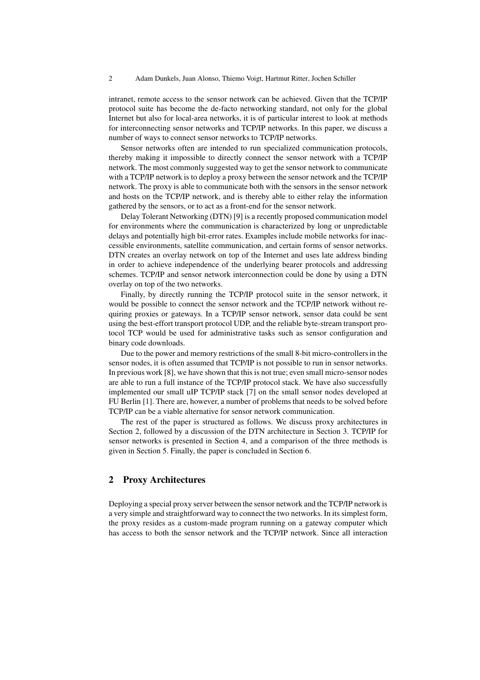intranet, remote access to the sensor network can be achieved. Given that the TCP/IP protocol suite has become the de-facto networking standard, not only for the global Internet but also for local-area networks, it is of particular interest to look at methods for interconnecting sensor networks and TCP/IP networks. In this paper, we discuss a number of ways to connect sensor networks to TCP/IP networks.

Sensor networks often are intended to run specialized communication protocols, thereby making it impossible to directly connect the sensor network with a TCP/IP network. The most commonly suggested way to get the sensor network to communicate with a TCP/IP network is to deploy a proxy between the sensor network and the TCP/IP network. The proxy is able to communicate both with the sensors in the sensor network and hosts on the TCP/IP network, and is thereby able to either relay the information gathered by the sensors, or to act as a front-end for the sensor network.

Delay Tolerant Networking (DTN) [9] is a recently proposed communication model for environments where the communication is characterized by long or unpredictable delays and potentially high bit-error rates. Examples include mobile networks for inaccessible environments, satellite communication, and certain forms of sensor networks. DTN creates an overlay network on top of the Internet and uses late address binding in order to achieve independence of the underlying bearer protocols and addressing schemes. TCP/IP and sensor network interconnection could be done by using a DTN overlay on top of the two networks.

Finally, by directly running the TCP/IP protocol suite in the sensor network, it would be possible to connect the sensor network and the TCP/IP network without requiring proxies or gateways. In a TCP/IP sensor network, sensor data could be sent using the best-effort transport protocol UDP, and the reliable byte-stream transport protocol TCP would be used for administrative tasks such as sensor configuration and binary code downloads.

Due to the power and memory restrictions of the small 8-bit micro-controllersin the sensor nodes, it is often assumed that TCP/IP is not possible to run in sensor networks. In previous work [8], we have shown that this is not true; even small micro-sensor nodes are able to run a full instance of the TCP/IP protocol stack. We have also successfully implemented our small uIP TCP/IP stack [7] on the small sensor nodes developed at FU Berlin [1]. There are, however, a number of problems that needs to be solved before TCP/IP can be a viable alternative for sensor network communication.

The rest of the paper is structured as follows. We discuss proxy architectures in Section 2, followed by a discussion of the DTN architecture in Section 3. TCP/IP for sensor networks is presented in Section 4, and a comparison of the three methods is given in Section 5. Finally, the paper is concluded in Section 6.

# **2 Proxy Architectures**

Deploying a special proxy server between the sensor network and the TCP/IP network is a very simple and straightforward way to connect the two networks. In its simplest form, the proxy resides as a custom-made program running on a gateway computer which has access to both the sensor network and the TCP/IP network. Since all interaction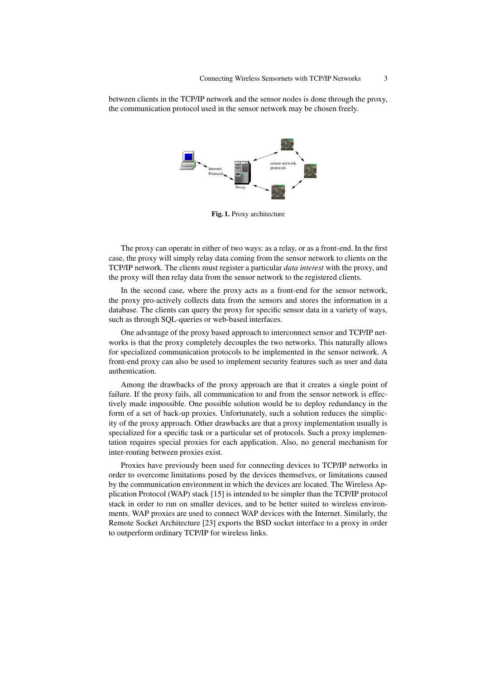between clients in the TCP/IP network and the sensor nodes is done through the proxy, the communication protocol used in the sensor network may be chosen freely.



**Fig. 1.** Proxy architecture

The proxy can operate in either of two ways: as a relay, or as a front-end. In the first case, the proxy will simply relay data coming from the sensor network to clients on the TCP/IP network. The clients must register a particular *data interest* with the proxy, and the proxy will then relay data from the sensor network to the registered clients.

In the second case, where the proxy acts as a front-end for the sensor network, the proxy pro-actively collects data from the sensors and stores the information in a database. The clients can query the proxy for specific sensor data in a variety of ways, such as through SQL-queries or web-based interfaces.

One advantage of the proxy based approach to interconnect sensor and TCP/IP networks is that the proxy completely decouples the two networks. This naturally allows for specialized communication protocols to be implemented in the sensor network. A front-end proxy can also be used to implement security features such as user and data authentication.

Among the drawbacks of the proxy approach are that it creates a single point of failure. If the proxy fails, all communication to and from the sensor network is effectively made impossible. One possible solution would be to deploy redundancy in the form of a set of back-up proxies. Unfortunately, such a solution reduces the simplicity of the proxy approach. Other drawbacks are that a proxy implementation usually is specialized for a specific task or a particular set of protocols. Such a proxy implementation requires special proxies for each application. Also, no general mechanism for inter-routing between proxies exist.

Proxies have previously been used for connecting devices to TCP/IP networks in order to overcome limitations posed by the devices themselves, or limitations caused by the communication environment in which the devices are located. The Wireless Application Protocol (WAP) stack [15] is intended to be simpler than the TCP/IP protocol stack in order to run on smaller devices, and to be better suited to wireless environments. WAP proxies are used to connect WAP devices with the Internet. Similarly, the Remote Socket Architecture [23] exports the BSD socket interface to a proxy in order to outperform ordinary TCP/IP for wireless links.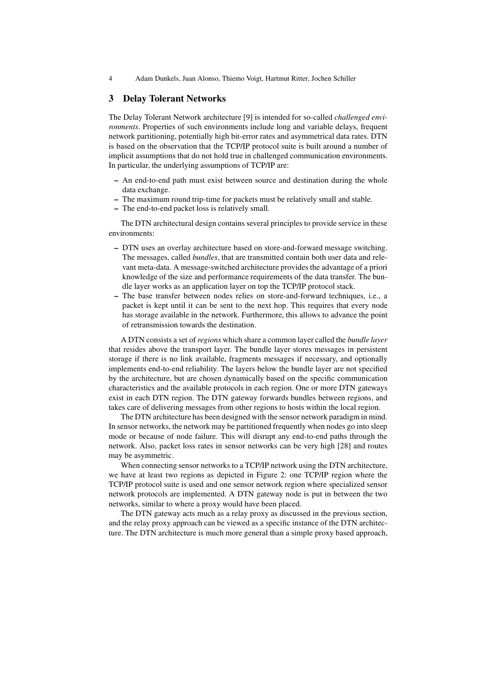4 Adam Dunkels, Juan Alonso, Thiemo Voigt, Hartmut Ritter, Jochen Schiller

#### **3 Delay Tolerant Networks**

The Delay Tolerant Network architecture [9] is intended for so-called *challenged environments*. Properties of such environments include long and variable delays, frequent network partitioning, potentially high bit-error rates and asymmetrical data rates. DTN is based on the observation that the TCP/IP protocol suite is built around a number of implicit assumptions that do not hold true in challenged communication environments. In particular, the underlying assumptions of TCP/IP are:

- **–** An end-to-end path must exist between source and destination during the whole data exchange.
- **–** The maximum round trip-time for packets must be relatively small and stable.
- **–** The end-to-end packet loss is relatively small.

The DTN architectural design contains several principles to provide service in these environments:

- **–** DTN uses an overlay architecture based on store-and-forward message switching. The messages, called *bundles*, that are transmitted contain both user data and relevant meta-data. A message-switched architecture provides the advantage of a priori knowledge of the size and performance requirements of the data transfer. The bundle layer works as an application layer on top the TCP/IP protocol stack.
- **–** The base transfer between nodes relies on store-and-forward techniques, i.e., a packet is kept until it can be sent to the next hop. This requires that every node has storage available in the network. Furthermore, this allows to advance the point of retransmission towards the destination.

A DTN consists a set of *regions* which share a common layer called the *bundle layer* that resides above the transport layer. The bundle layer stores messages in persistent storage if there is no link available, fragments messages if necessary, and optionally implements end-to-end reliability. The layers below the bundle layer are not specified by the architecture, but are chosen dynamically based on the specific communication characteristics and the available protocols in each region. One or more DTN gateways exist in each DTN region. The DTN gateway forwards bundles between regions, and takes care of delivering messages from other regions to hosts within the local region.

The DTN architecture has been designed with the sensor network paradigm in mind. In sensor networks, the network may be partitioned frequently when nodes go into sleep mode or because of node failure. This will disrupt any end-to-end paths through the network. Also, packet loss rates in sensor networks can be very high [28] and routes may be asymmetric.

When connecting sensor networks to a TCP/IP network using the DTN architecture, we have at least two regions as depicted in Figure 2: one TCP/IP region where the TCP/IP protocol suite is used and one sensor network region where specialized sensor network protocols are implemented. A DTN gateway node is put in between the two networks, similar to where a proxy would have been placed.

The DTN gateway acts much as a relay proxy as discussed in the previous section, and the relay proxy approach can be viewed as a specific instance of the DTN architecture. The DTN architecture is much more general than a simple proxy based approach,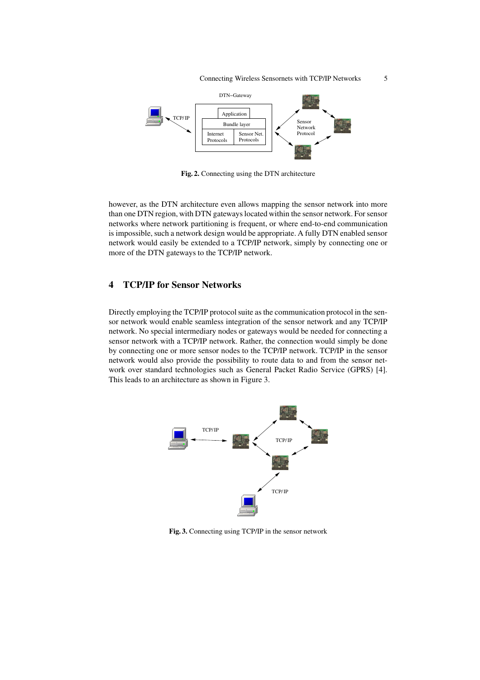

**Fig. 2.** Connecting using the DTN architecture

however, as the DTN architecture even allows mapping the sensor network into more than one DTN region, with DTN gateways located within the sensor network. For sensor networks where network partitioning is frequent, or where end-to-end communication is impossible, such a network design would be appropriate. A fully DTN enabled sensor network would easily be extended to a TCP/IP network, simply by connecting one or more of the DTN gateways to the TCP/IP network.

# **4 TCP/IP for Sensor Networks**

Directly employing the TCP/IP protocol suite as the communication protocol in the sensor network would enable seamless integration of the sensor network and any TCP/IP network. No special intermediary nodes or gateways would be needed for connecting a sensor network with a TCP/IP network. Rather, the connection would simply be done by connecting one or more sensor nodes to the TCP/IP network. TCP/IP in the sensor network would also provide the possibility to route data to and from the sensor network over standard technologies such as General Packet Radio Service (GPRS) [4]. This leads to an architecture as shown in Figure 3.



**Fig. 3.** Connecting using TCP/IP in the sensor network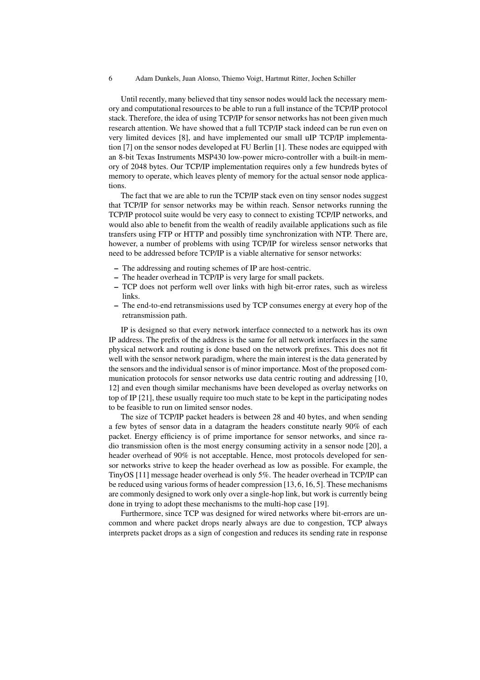Until recently, many believed that tiny sensor nodes would lack the necessary memory and computational resources to be able to run a full instance of the TCP/IP protocol stack. Therefore, the idea of using TCP/IP for sensor networks has not been given much research attention. We have showed that a full TCP/IP stack indeed can be run even on very limited devices [8], and have implemented our small uIP TCP/IP implementation [7] on the sensor nodes developed at FU Berlin [1]. These nodes are equipped with an 8-bit Texas Instruments MSP430 low-power micro-controller with a built-in memory of 2048 bytes. Our TCP/IP implementation requires only a few hundreds bytes of memory to operate, which leaves plenty of memory for the actual sensor node applications.

The fact that we are able to run the TCP/IP stack even on tiny sensor nodes suggest that TCP/IP for sensor networks may be within reach. Sensor networks running the TCP/IP protocol suite would be very easy to connect to existing TCP/IP networks, and would also able to benefit from the wealth of readily available applications such as file transfers using FTP or HTTP and possibly time synchronization with NTP. There are, however, a number of problems with using TCP/IP for wireless sensor networks that need to be addressed before TCP/IP is a viable alternative for sensor networks:

- **–** The addressing and routing schemes of IP are host-centric.
- **–** The header overhead in TCP/IP is very large for small packets.
- **–** TCP does not perform well over links with high bit-error rates, such as wireless links.
- **–** The end-to-end retransmissions used by TCP consumes energy at every hop of the retransmission path.

IP is designed so that every network interface connected to a network has its own IP address. The prefix of the address is the same for all network interfaces in the same physical network and routing is done based on the network prefixes. This does not fit well with the sensor network paradigm, where the main interest is the data generated by the sensors and the individualsensor is of minor importance. Most of the proposed communication protocols for sensor networks use data centric routing and addressing [10, 12] and even though similar mechanisms have been developed as overlay networks on top of IP [21], these usually require too much state to be kept in the participating nodes to be feasible to run on limited sensor nodes.

The size of TCP/IP packet headers is between 28 and 40 bytes, and when sending a few bytes of sensor data in a datagram the headers constitute nearly 90% of each packet. Energy efficiency is of prime importance for sensor networks, and since radio transmission often is the most energy consuming activity in a sensor node [20], a header overhead of 90% is not acceptable. Hence, most protocols developed for sensor networks strive to keep the header overhead as low as possible. For example, the TinyOS [11] message header overhead is only 5%. The header overhead in TCP/IP can be reduced using various forms of header compression [13, 6, 16, 5]. These mechanisms are commonly designed to work only over a single-hop link, but work is currently being done in trying to adopt these mechanisms to the multi-hop case [19].

Furthermore, since TCP was designed for wired networks where bit-errors are uncommon and where packet drops nearly always are due to congestion, TCP always interprets packet drops as a sign of congestion and reduces its sending rate in response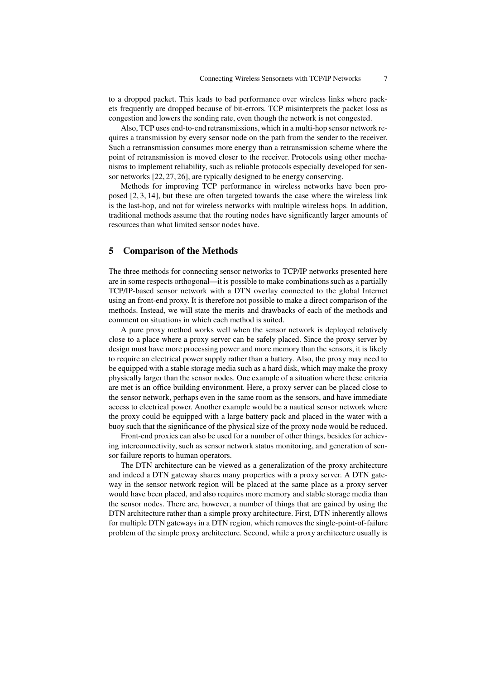to a dropped packet. This leads to bad performance over wireless links where packets frequently are dropped because of bit-errors. TCP misinterprets the packet loss as congestion and lowers the sending rate, even though the network is not congested.

Also, TCP uses end-to-end retransmissions, which in a multi-hop sensor network requires a transmission by every sensor node on the path from the sender to the receiver. Such a retransmission consumes more energy than a retransmission scheme where the point of retransmission is moved closer to the receiver. Protocols using other mechanisms to implement reliability, such as reliable protocols especially developed for sensor networks [22, 27, 26], are typically designed to be energy conserving.

Methods for improving TCP performance in wireless networks have been proposed [2, 3, 14], but these are often targeted towards the case where the wireless link is the last-hop, and not for wireless networks with multiple wireless hops. In addition, traditional methods assume that the routing nodes have significantly larger amounts of resources than what limited sensor nodes have.

#### **5 Comparison of the Methods**

The three methods for connecting sensor networks to TCP/IP networks presented here are in some respects orthogonal—it is possible to make combinationssuch as a partially TCP/IP-based sensor network with a DTN overlay connected to the global Internet using an front-end proxy. It is therefore not possible to make a direct comparison of the methods. Instead, we will state the merits and drawbacks of each of the methods and comment on situations in which each method is suited.

A pure proxy method works well when the sensor network is deployed relatively close to a place where a proxy server can be safely placed. Since the proxy server by design must have more processing power and more memory than the sensors, it is likely to require an electrical power supply rather than a battery. Also, the proxy may need to be equipped with a stable storage media such as a hard disk, which may make the proxy physically larger than the sensor nodes. One example of a situation where these criteria are met is an office building environment. Here, a proxy server can be placed close to the sensor network, perhaps even in the same room as the sensors, and have immediate access to electrical power. Another example would be a nautical sensor network where the proxy could be equipped with a large battery pack and placed in the water with a buoy such that the significance of the physical size of the proxy node would be reduced.

Front-end proxies can also be used for a number of other things, besides for achieving interconnectivity, such as sensor network status monitoring, and generation of sensor failure reports to human operators.

The DTN architecture can be viewed as a generalization of the proxy architecture and indeed a DTN gateway shares many properties with a proxy server. A DTN gateway in the sensor network region will be placed at the same place as a proxy server would have been placed, and also requires more memory and stable storage media than the sensor nodes. There are, however, a number of things that are gained by using the DTN architecture rather than a simple proxy architecture. First, DTN inherently allows for multiple DTN gateways in a DTN region, which removes the single-point-of-failure problem of the simple proxy architecture. Second, while a proxy architecture usually is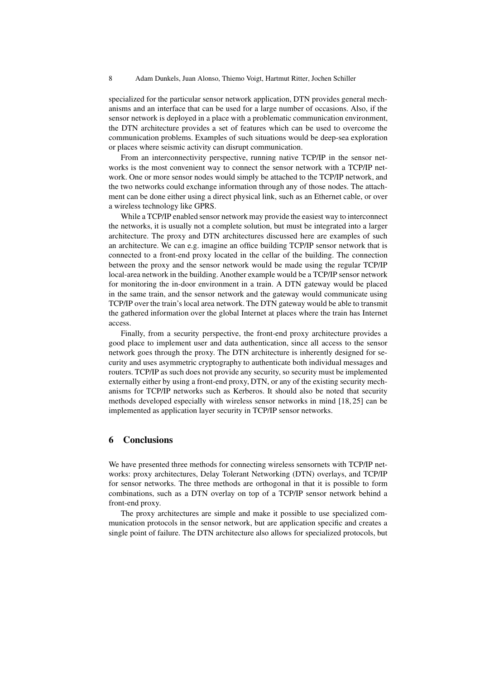specialized for the particular sensor network application, DTN provides general mechanisms and an interface that can be used for a large number of occasions. Also, if the sensor network is deployed in a place with a problematic communication environment, the DTN architecture provides a set of features which can be used to overcome the communication problems. Examples of such situations would be deep-sea exploration or places where seismic activity can disrupt communication.

From an interconnectivity perspective, running native TCP/IP in the sensor networks is the most convenient way to connect the sensor network with a TCP/IP network. One or more sensor nodes would simply be attached to the TCP/IP network, and the two networks could exchange information through any of those nodes. The attachment can be done either using a direct physical link, such as an Ethernet cable, or over a wireless technology like GPRS.

While a TCP/IP enabled sensor network may provide the easiest way to interconnect the networks, it is usually not a complete solution, but must be integrated into a larger architecture. The proxy and DTN architectures discussed here are examples of such an architecture. We can e.g. imagine an office building TCP/IP sensor network that is connected to a front-end proxy located in the cellar of the building. The connection between the proxy and the sensor network would be made using the regular TCP/IP local-area network in the building. Another example would be a TCP/IP sensor network for monitoring the in-door environment in a train. A DTN gateway would be placed in the same train, and the sensor network and the gateway would communicate using TCP/IP over the train's local area network. The DTN gateway would be able to transmit the gathered information over the global Internet at places where the train has Internet access.

Finally, from a security perspective, the front-end proxy architecture provides a good place to implement user and data authentication, since all access to the sensor network goes through the proxy. The DTN architecture is inherently designed for security and uses asymmetric cryptography to authenticate both individual messages and routers. TCP/IP as such does not provide any security, so security must be implemented externally either by using a front-end proxy, DTN, or any of the existing security mechanisms for TCP/IP networks such as Kerberos. It should also be noted that security methods developed especially with wireless sensor networks in mind [18, 25] can be implemented as application layer security in TCP/IP sensor networks.

### **6 Conclusions**

We have presented three methods for connecting wireless sensornets with TCP/IP networks: proxy architectures, Delay Tolerant Networking (DTN) overlays, and TCP/IP for sensor networks. The three methods are orthogonal in that it is possible to form combinations, such as a DTN overlay on top of a TCP/IP sensor network behind a front-end proxy.

The proxy architectures are simple and make it possible to use specialized communication protocols in the sensor network, but are application specific and creates a single point of failure. The DTN architecture also allows for specialized protocols, but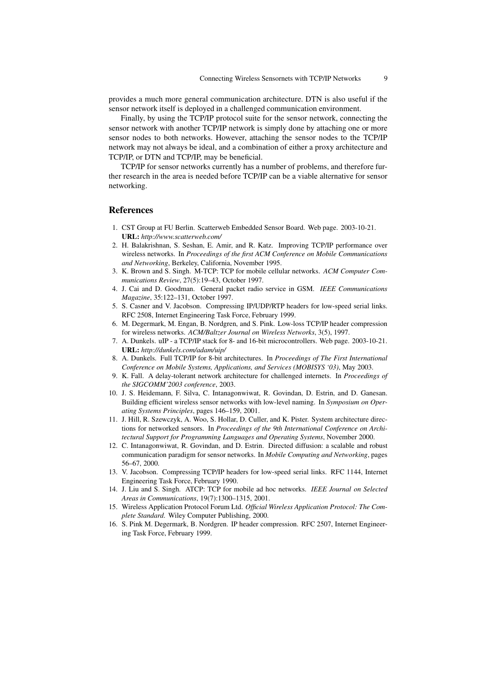provides a much more general communication architecture. DTN is also useful if the sensor network itself is deployed in a challenged communication environment.

Finally, by using the TCP/IP protocol suite for the sensor network, connecting the sensor network with another TCP/IP network is simply done by attaching one or more sensor nodes to both networks. However, attaching the sensor nodes to the TCP/IP network may not always be ideal, and a combination of either a proxy architecture and TCP/IP, or DTN and TCP/IP, may be beneficial.

TCP/IP for sensor networks currently has a number of problems, and therefore further research in the area is needed before TCP/IP can be a viable alternative for sensor networking.

#### **References**

- 1. CST Group at FU Berlin. Scatterweb Embedded Sensor Board. Web page. 2003-10-21. **URL:** *http://www.scatterweb.com/*
- 2. H. Balakrishnan, S. Seshan, E. Amir, and R. Katz. Improving TCP/IP performance over wireless networks. In *Proceedings of the first ACM Conference on Mobile Communications and Networking*, Berkeley, California, November 1995.
- 3. K. Brown and S. Singh. M-TCP: TCP for mobile cellular networks. *ACM Computer Communications Review*, 27(5):19–43, October 1997.
- 4. J. Cai and D. Goodman. General packet radio service in GSM. *IEEE Communications Magazine*, 35:122–131, October 1997.
- 5. S. Casner and V. Jacobson. Compressing IP/UDP/RTP headers for low-speed serial links. RFC 2508, Internet Engineering Task Force, February 1999.
- 6. M. Degermark, M. Engan, B. Nordgren, and S. Pink. Low-loss TCP/IP header compression for wireless networks. *ACM/Baltzer Journal on Wireless Networks*, 3(5), 1997.
- 7. A. Dunkels. uIP a TCP/IP stack for 8- and 16-bit microcontrollers. Web page. 2003-10-21. **URL:** *http://dunkels.com/adam/uip/*
- 8. A. Dunkels. Full TCP/IP for 8-bit architectures. In *Proceedings of The First International Conference on Mobile Systems, Applications, and Services (MOBISYS '03)*, May 2003.
- 9. K. Fall. A delay-tolerant network architecture for challenged internets. In *Proceedings of the SIGCOMM'2003 conference*, 2003.
- 10. J. S. Heidemann, F. Silva, C. Intanagonwiwat, R. Govindan, D. Estrin, and D. Ganesan. Building efficient wireless sensor networks with low-level naming. In *Symposium on Operating Systems Principles*, pages 146–159, 2001.
- 11. J. Hill, R. Szewczyk, A. Woo, S. Hollar, D. Culler, and K. Pister. System architecture directions for networked sensors. In *Proceedings of the 9th International Conference on Architectural Support for Programming Languages and Operating Systems*, November 2000.
- 12. C. Intanagonwiwat, R. Govindan, and D. Estrin. Directed diffusion: a scalable and robust communication paradigm for sensor networks. In *Mobile Computing and Networking*, pages 56–67, 2000.
- 13. V. Jacobson. Compressing TCP/IP headers for low-speed serial links. RFC 1144, Internet Engineering Task Force, February 1990.
- 14. J. Liu and S. Singh. ATCP: TCP for mobile ad hoc networks. *IEEE Journal on Selected Areas in Communications*, 19(7):1300–1315, 2001.
- 15. Wireless Application Protocol Forum Ltd. *Official Wireless Application Protocol: The Complete Standard*. Wiley Computer Publishing, 2000.
- 16. S. Pink M. Degermark, B. Nordgren. IP header compression. RFC 2507, Internet Engineering Task Force, February 1999.